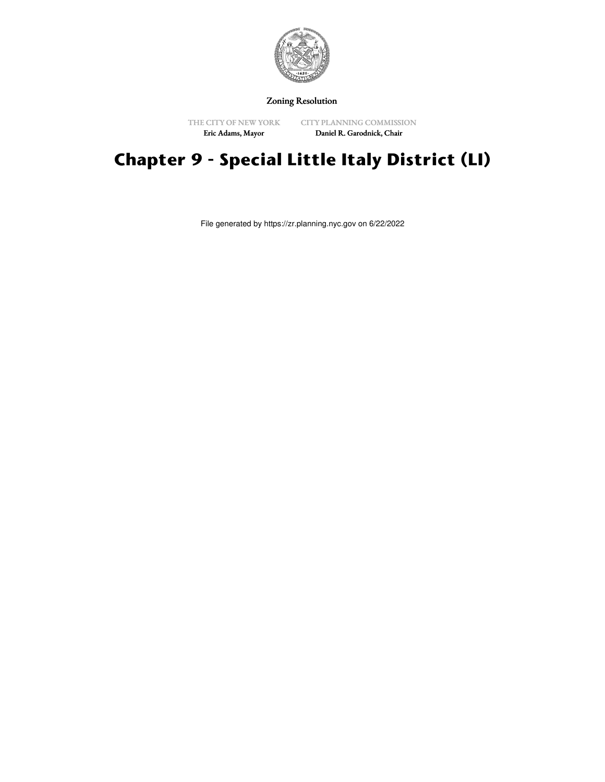

Zoning Resolution

THE CITY OF NEW YORK Eric Adams, Mayor

CITY PLANNING COMMISSION Daniel R. Garodnick, Chair

# **Chapter 9 - Special Little Italy District (LI)**

File generated by https://zr.planning.nyc.gov on 6/22/2022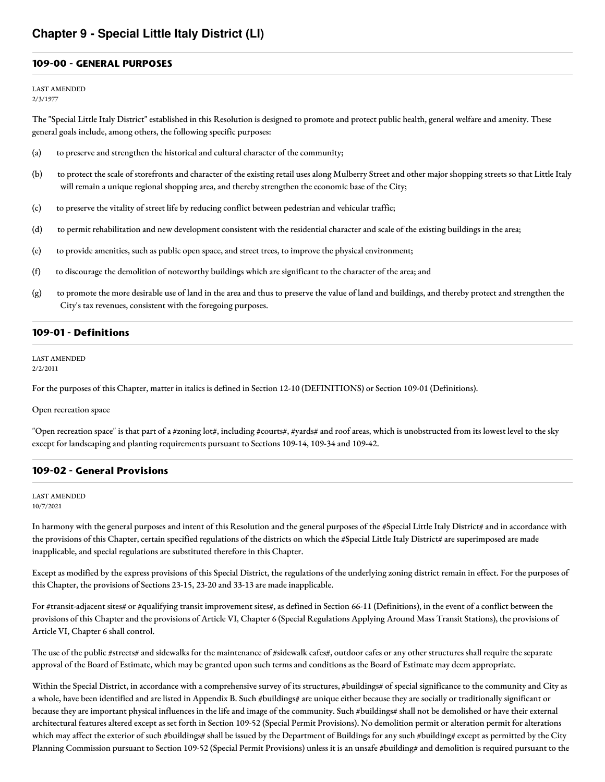#### **109-00 - GENERAL PURPOSES**

LAST AMENDED 2/3/1977

The "Special Little Italy District" established in this Resolution is designed to promote and protect public health, general welfare and amenity. These general goals include, among others, the following specific purposes:

- (a) to preserve and strengthen the historical and cultural character of the community;
- (b) to protect the scale of storefronts and character of the existing retail uses along Mulberry Street and other major shopping streets so that Little Italy will remain a unique regional shopping area, and thereby strengthen the economic base of the City;
- (c) to preserve the vitality of street life by reducing conflict between pedestrian and vehicular traffic;
- (d) to permit rehabilitation and new development consistent with the residential character and scale of the existing buildings in the area;
- (e) to provide amenities, such as public open space, and street trees, to improve the physical environment;
- (f) to discourage the demolition of noteworthy buildings which are significant to the character of the area; and
- (g) to promote the more desirable use of land in the area and thus to preserve the value of land and buildings, and thereby protect and strengthen the City's tax revenues, consistent with the foregoing purposes.

#### **109-01 - Definitions**

LAST AMENDED 2/2/2011

For the purposes of this Chapter, matter in italics is defined in Section 12-10 (DEFINITIONS) or Section 109-01 (Definitions).

Open recreation space

"Open recreation space" is that part of a #zoning lot#, including #courts#, #yards# and roof areas, which is unobstructed from its lowest level to the sky except for landscaping and planting requirements pursuant to Sections 109-14, 109-34 and 109-42.

#### **109-02 - General Provisions**

#### LAST AMENDED 10/7/2021

In harmony with the general purposes and intent of this Resolution and the general purposes of the #Special Little Italy District# and in accordance with the provisions of this Chapter, certain specified regulations of the districts on which the #Special Little Italy District# are superimposed are made inapplicable, and special regulations are substituted therefore in this Chapter.

Except as modified by the express provisions of this Special District, the regulations of the underlying zoning district remain in effect. For the purposes of this Chapter, the provisions of Sections 23-15, 23-20 and 33-13 are made inapplicable.

For #transit-adjacent sites# or #qualifying transit improvement sites#, as defined in Section 66-11 (Definitions), in the event of a conflict between the provisions of this Chapter and the provisions of Article VI, Chapter 6 (Special Regulations Applying Around Mass Transit Stations), the provisions of Article VI, Chapter 6 shall control.

The use of the public #streets# and sidewalks for the maintenance of #sidewalk cafes#, outdoor cafes or any other structures shall require the separate approval of the Board of Estimate, which may be granted upon such terms and conditions as the Board of Estimate may deem appropriate.

Within the Special District, in accordance with a comprehensive survey of its structures, #buildings# of special significance to the community and City as a whole, have been identified and are listed in Appendix B. Such #buildings# are unique either because they are socially or traditionally significant or because they are important physical influences in the life and image of the community. Such #buildings# shall not be demolished or have their external architectural features altered except as set forth in Section 109-52 (Special Permit Provisions). No demolition permit or alteration permit for alterations which may affect the exterior of such #buildings# shall be issued by the Department of Buildings for any such #building# except as permitted by the City Planning Commission pursuant to Section 109-52 (Special Permit Provisions) unless it is an unsafe #building# and demolition is required pursuant to the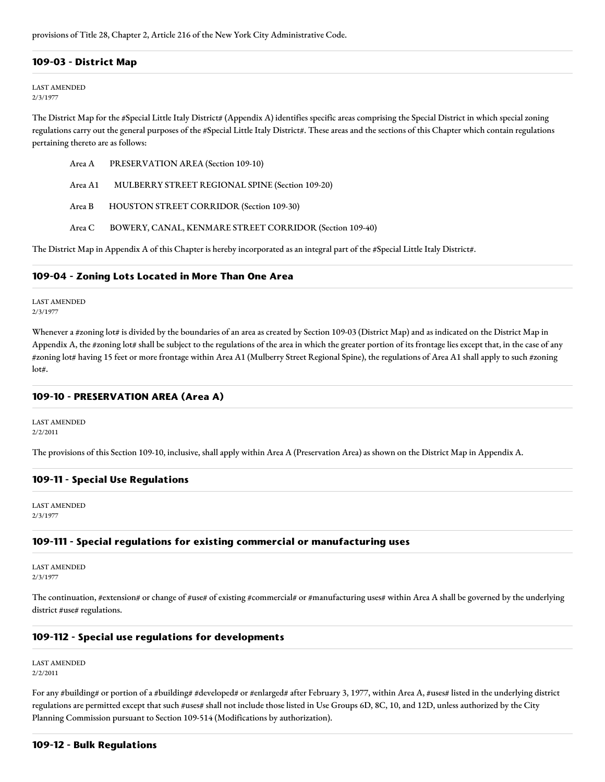provisions of Title 28, Chapter 2, Article 216 of the New York City Administrative Code.

#### **109-03 - District Map**

#### LAST AMENDED 2/3/1977

The District Map for the #Special Little Italy District# (Appendix A) identifies specific areas comprising the Special District in which special zoning regulations carry out the general purposes of the #Special Little Italy District#. These areas and the sections of this Chapter which contain regulations pertaining thereto are as follows:

| Area A PRESERVATION AREA (Section 109-10)                      |
|----------------------------------------------------------------|
| Area A1 MULBERRY STREET REGIONAL SPINE (Section 109-20)        |
| Area B HOUSTON STREET CORRIDOR (Section 109-30)                |
| Area C BOWERY, CANAL, KENMARE STREET CORRIDOR (Section 109-40) |

The District Map in Appendix A of this Chapter is hereby incorporated as an integral part of the #Special Little Italy District#.

#### **109-04 - Zoning Lots Located in More Than One Area**

LAST AMENDED 2/3/1977

Whenever a #zoning lot# is divided by the boundaries of an area as created by Section 109-03 (District Map) and as indicated on the District Map in Appendix A, the #zoning lot# shall be subject to the regulations of the area in which the greater portion of its frontage lies except that, in the case of any #zoning lot# having 15 feet or more frontage within Area A1 (Mulberry Street Regional Spine), the regulations of Area A1 shall apply to such #zoning lot#.

# **109-10 - PRESERVATION AREA (Area A)**

LAST AMENDED 2/2/2011

The provisions of this Section 109-10, inclusive, shall apply within Area A (Preservation Area) as shown on the District Map in Appendix A.

## **109-11 - Special Use Regulations**

LAST AMENDED 2/3/1977

#### **109-111 - Special regulations for existing commercial or manufacturing uses**

LAST AMENDED 2/3/1977

The continuation, #extension# or change of #use# of existing #commercial# or #manufacturing uses# within Area A shall be governed by the underlying district #use# regulations.

## **109-112 - Special use regulations for developments**

LAST AMENDED 2/2/2011

For any #building# or portion of a #building# #developed# or #enlarged# after February 3, 1977, within Area A, #uses# listed in the underlying district regulations are permitted except that such #uses# shall not include those listed in Use Groups 6D, 8C, 10, and 12D, unless authorized by the City Planning Commission pursuant to Section 109-514 (Modifications by authorization).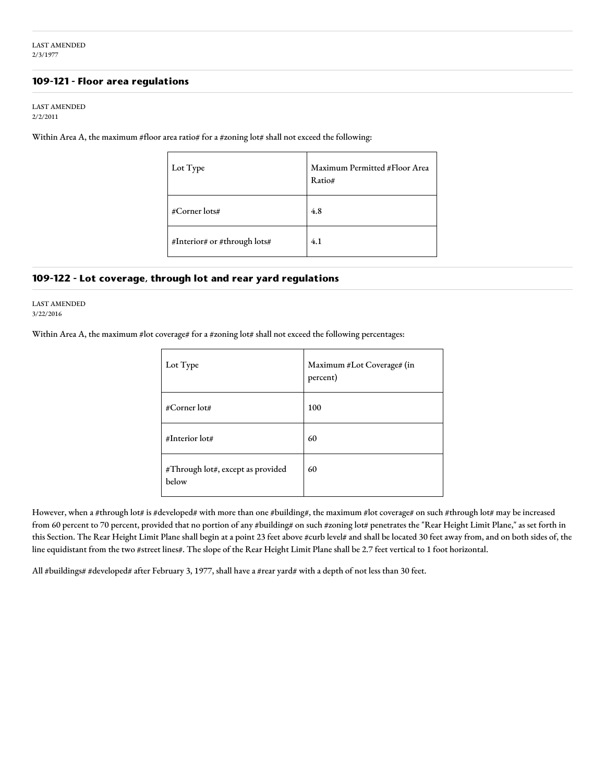#### **109-121 - Floor area regulations**

#### LAST AMENDED 2/2/2011

Within Area A, the maximum #floor area ratio# for a #zoning lot# shall not exceed the following:

| Lot Type                     | Maximum Permitted #Floor Area<br>Ratio# |
|------------------------------|-----------------------------------------|
| #Corner lots#                | 4.8                                     |
| #Interior# or #through lots# | 4.1                                     |

#### **109-122 - Lot coverage, through lot and rear yard regulations**

LAST AMENDED 3/22/2016

Within Area A, the maximum #lot coverage# for a #zoning lot# shall not exceed the following percentages:

| Lot Type                                   | Maximum #Lot Coverage# (in<br>percent) |
|--------------------------------------------|----------------------------------------|
| #Corner lot#                               | 100                                    |
| #Interior lot#                             | 60                                     |
| #Through lot#, except as provided<br>below | 60                                     |

However, when a #through lot# is #developed# with more than one #building#, the maximum #lot coverage# on such #through lot# may be increased from 60 percent to 70 percent, provided that no portion of any #building# on such #zoning lot# penetrates the "Rear Height Limit Plane," as set forth in this Section. The Rear Height Limit Plane shall begin at a point 23 feet above #curb level# and shall be located 30 feet away from, and on both sides of, the line equidistant from the two #street lines#. The slope of the Rear Height Limit Plane shall be 2.7 feet vertical to 1 foot horizontal.

All #buildings# #developed# after February 3, 1977, shall have a #rear yard# with a depth of not less than 30 feet.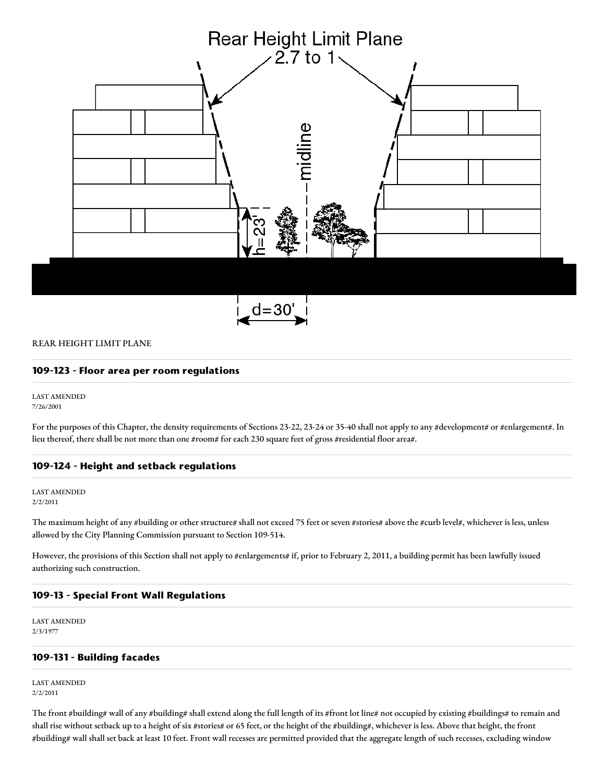

#### REAR HEIGHT LIMIT PLANE

#### **109-123 - Floor area per room regulations**

LAST AMENDED 7/26/2001

For the purposes of this Chapter, the density requirements of Sections 23-22, 23-24 or 35-40 shall not apply to any #development# or #enlargement#. In lieu thereof, there shall be not more than one #room# for each 230 square feet of gross #residential floor area#.

#### **109-124 - Height and setback regulations**

LAST AMENDED 2/2/2011

The maximum height of any #building or other structure# shall not exceed 75 feet or seven #stories# above the #curb level#, whichever is less, unless allowed by the City Planning Commission pursuant to Section 109-514.

However, the provisions of this Section shall not apply to #enlargements# if, prior to February 2, 2011, a building permit has been lawfully issued authorizing such construction.

#### **109-13 - Special Front Wall Regulations**

LAST AMENDED 2/3/1977

# **109-131 - Building facades**

LAST AMENDED 2/2/2011

The front #building# wall of any #building# shall extend along the full length of its #front lot line# not occupied by existing #buildings# to remain and shall rise without setback up to a height of six #stories# or 65 feet, or the height of the #building#, whichever is less. Above that height, the front #building# wall shall set back at least 10 feet. Front wall recesses are permitted provided that the aggregate length of such recesses, excluding window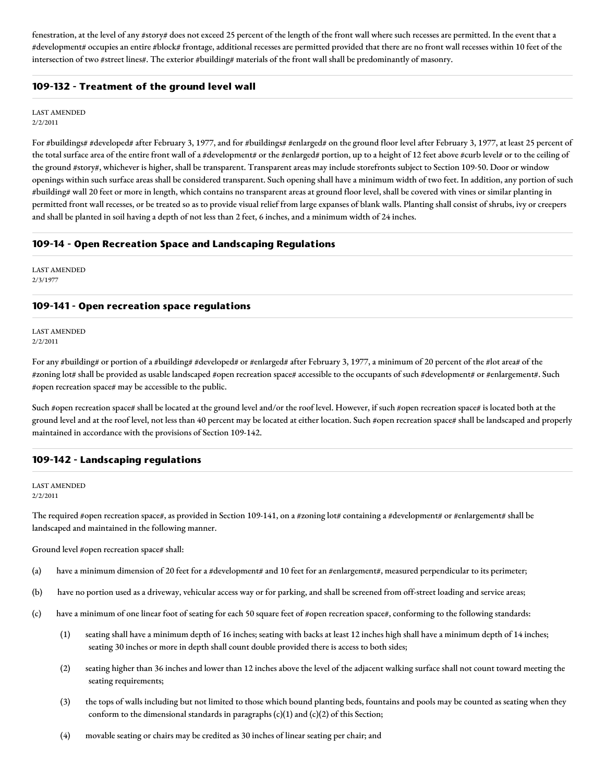fenestration, at the level of any #story# does not exceed 25 percent of the length of the front wall where such recesses are permitted. In the event that a #development# occupies an entire #block# frontage, additional recesses are permitted provided that there are no front wall recesses within 10 feet of the intersection of two #street lines#. The exterior #building# materials of the front wall shall be predominantly of masonry.

# **109-132 - Treatment of the ground level wall**

LAST AMENDED 2/2/2011

For #buildings# #developed# after February 3, 1977, and for #buildings# #enlarged# on the ground floor level after February 3, 1977, at least 25 percent of the total surface area of the entire front wall of a #development# or the #enlarged# portion, up to a height of 12 feet above #curb level# or to the ceiling of the ground #story#, whichever is higher, shall be transparent. Transparent areas may include storefronts subject to Section 109-50. Door or window openings within such surface areas shall be considered transparent. Such opening shall have a minimum width of two feet. In addition, any portion of such #building# wall 20 feet or more in length, which contains no transparent areas at ground floor level, shall be covered with vines or similar planting in permitted front wall recesses, or be treated so as to provide visual relief from large expanses of blank walls. Planting shall consist of shrubs, ivy or creepers and shall be planted in soil having a depth of not less than 2 feet, 6 inches, and a minimum width of 24 inches.

## **109-14 - Open Recreation Space and Landscaping Regulations**

LAST AMENDED 2/3/1977

#### **109-141 - Open recreation space regulations**

LAST AMENDED 2/2/2011

For any #building# or portion of a #building# #developed# or #enlarged# after February 3, 1977, a minimum of 20 percent of the #lot area# of the #zoning lot# shall be provided as usable landscaped #open recreation space# accessible to the occupants of such #development# or #enlargement#. Such #open recreation space# may be accessible to the public.

Such #open recreation space# shall be located at the ground level and/or the roof level. However, if such #open recreation space# is located both at the ground level and at the roof level, not less than 40 percent may be located at either location. Such #open recreation space# shall be landscaped and properly maintained in accordance with the provisions of Section 109-142.

## **109-142 - Landscaping regulations**

LAST AMENDED 2/2/2011

The required #open recreation space#, as provided in Section 109-141, on a #zoning lot# containing a #development# or #enlargement# shall be landscaped and maintained in the following manner.

Ground level #open recreation space# shall:

- (a) have a minimum dimension of 20 feet for a #development# and 10 feet for an #enlargement#, measured perpendicular to its perimeter;
- (b) have no portion used as a driveway, vehicular access way or for parking, and shall be screened from off-street loading and service areas;
- (c) have a minimum of one linear foot of seating for each 50 square feet of #open recreation space#, conforming to the following standards:
	- (1) seating shall have a minimum depth of 16 inches; seating with backs at least 12 inches high shall have a minimum depth of 14 inches; seating 30 inches or more in depth shall count double provided there is access to both sides;
	- (2) seating higher than 36 inches and lower than 12 inches above the level of the adjacent walking surface shall not count toward meeting the seating requirements;
	- (3) the tops of walls including but not limited to those which bound planting beds, fountains and pools may be counted as seating when they conform to the dimensional standards in paragraphs (c)(1) and (c)(2) of this Section;
	- (4) movable seating or chairs may be credited as 30 inches of linear seating per chair; and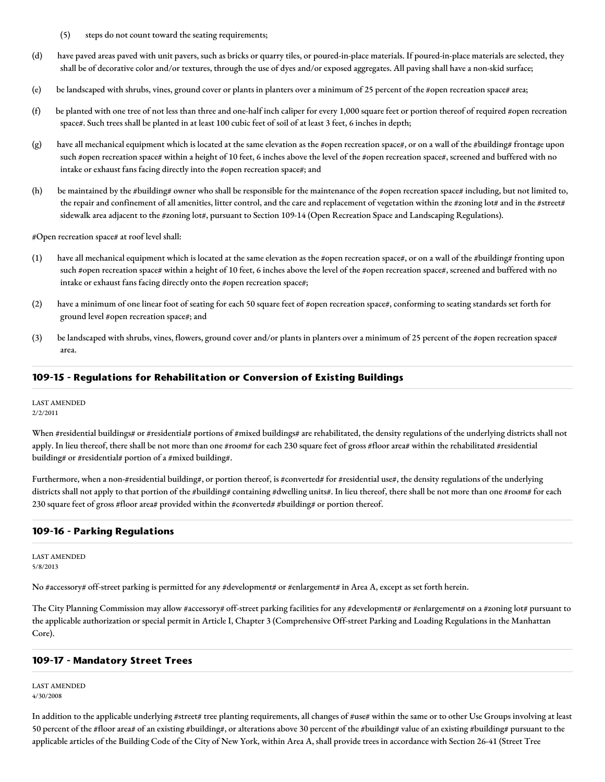- (5) steps do not count toward the seating requirements;
- (d) have paved areas paved with unit pavers, such as bricks or quarry tiles, or poured-in-place materials. If poured-in-place materials are selected, they shall be of decorative color and/or textures, through the use of dyes and/or exposed aggregates. All paving shall have a non-skid surface;
- (e) be landscaped with shrubs, vines, ground cover or plants in planters over a minimum of 25 percent of the #open recreation space# area;
- (f) be planted with one tree of not less than three and one-half inch caliper for every 1,000 square feet or portion thereof of required #open recreation space#. Such trees shall be planted in at least 100 cubic feet of soil of at least 3 feet, 6 inches in depth;
- (g) have all mechanical equipment which is located at the same elevation as the #open recreation space#, or on a wall of the #building# frontage upon such #open recreation space# within a height of 10 feet, 6 inches above the level of the #open recreation space#, screened and buffered with no intake or exhaust fans facing directly into the #open recreation space#; and
- (h) be maintained by the #building# owner who shall be responsible for the maintenance of the #open recreation space# including, but not limited to, the repair and confinement of all amenities, litter control, and the care and replacement of vegetation within the #zoning lot# and in the #street# sidewalk area adjacent to the #zoning lot#, pursuant to Section 109-14 (Open Recreation Space and Landscaping Regulations).

#Open recreation space# at roof level shall:

- (1) have all mechanical equipment which is located at the same elevation as the #open recreation space#, or on a wall of the #building# fronting upon such #open recreation space# within a height of 10 feet, 6 inches above the level of the #open recreation space#, screened and buffered with no intake or exhaust fans facing directly onto the #open recreation space#;
- (2) have a minimum of one linear foot of seating for each 50 square feet of #open recreation space#, conforming to seating standards set forth for ground level #open recreation space#; and
- (3) be landscaped with shrubs, vines, flowers, ground cover and/or plants in planters over a minimum of 25 percent of the #open recreation space# area.

# **109-15 - Regulations for Rehabilitation or Conversion of Existing Buildings**

LAST AMENDED 2/2/2011

When #residential buildings# or #residential# portions of #mixed buildings# are rehabilitated, the density regulations of the underlying districts shall not apply. In lieu thereof, there shall be not more than one #room# for each 230 square feet of gross #floor area# within the rehabilitated #residential building# or #residential# portion of a #mixed building#.

Furthermore, when a non-#residential building#, or portion thereof, is #converted# for #residential use#, the density regulations of the underlying districts shall not apply to that portion of the #building# containing #dwelling units#. In lieu thereof, there shall be not more than one #room# for each 230 square feet of gross #floor area# provided within the #converted# #building# or portion thereof.

## **109-16 - Parking Regulations**

LAST AMENDED 5/8/2013

No #accessory# off-street parking is permitted for any #development# or #enlargement# in Area A, except as set forth herein.

The City Planning Commission may allow #accessory# off-street parking facilities for any #development# or #enlargement# on a #zoning lot# pursuant to the applicable authorization or special permit in Article I, Chapter 3 (Comprehensive Off-street Parking and Loading Regulations in the Manhattan Core).

## **109-17 - Mandatory Street Trees**

LAST AMENDED 4/30/2008

In addition to the applicable underlying #street# tree planting requirements, all changes of #use# within the same or to other Use Groups involving at least 50 percent of the #floor area# of an existing #building#, or alterations above 30 percent of the #building# value of an existing #building# pursuant to the applicable articles of the Building Code of the City of New York, within Area A, shall provide trees in accordance with Section 26-41 (Street Tree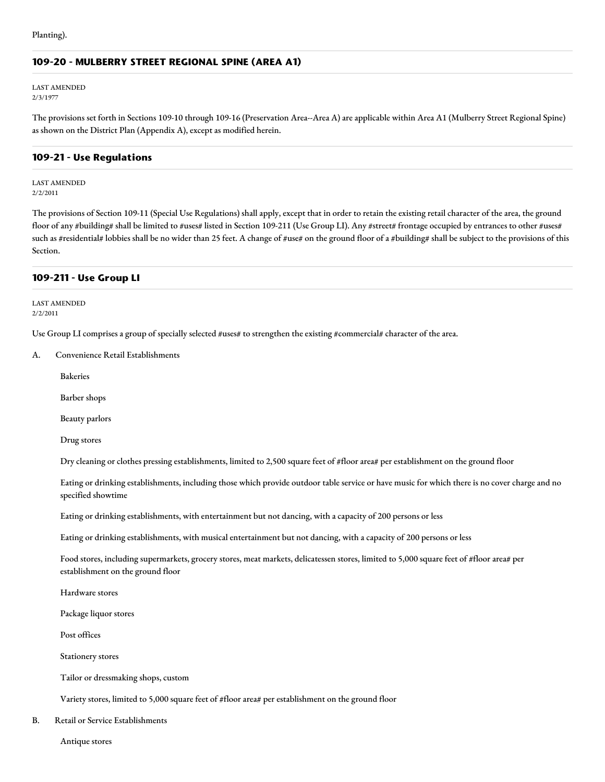# **109-20 - MULBERRY STREET REGIONAL SPINE (AREA A1)**

LAST AMENDED 2/3/1977

The provisions set forth in Sections 109-10 through 109-16 (Preservation Area--Area A) are applicable within Area A1 (Mulberry Street Regional Spine) as shown on the District Plan (Appendix A), except as modified herein.

# **109-21 - Use Regulations**

LAST AMENDED 2/2/2011

The provisions of Section 109-11 (Special Use Regulations) shall apply, except that in order to retain the existing retail character of the area, the ground floor of any #building# shall be limited to #uses# listed in Section 109-211 (Use Group LI). Any #street# frontage occupied by entrances to other #uses# such as #residential# lobbies shall be no wider than 25 feet. A change of #use# on the ground floor of a #building# shall be subject to the provisions of this Section.

#### **109-211 - Use Group LI**

LAST AMENDED 2/2/2011

Use Group LI comprises a group of specially selected #uses# to strengthen the existing #commercial# character of the area.

A. Convenience Retail Establishments

Bakeries

Barber shops

Beauty parlors

Drug stores

Dry cleaning or clothes pressing establishments, limited to 2,500 square feet of #floor area# per establishment on the ground floor

Eating or drinking establishments, including those which provide outdoor table service or have music for which there is no cover charge and no specified showtime

Eating or drinking establishments, with entertainment but not dancing, with a capacity of 200 persons or less

Eating or drinking establishments, with musical entertainment but not dancing, with a capacity of 200 persons or less

Food stores, including supermarkets, grocery stores, meat markets, delicatessen stores, limited to 5,000 square feet of #floor area# per establishment on the ground floor

Hardware stores

Package liquor stores

Post offices

Stationery stores

Tailor or dressmaking shops, custom

Variety stores, limited to 5,000 square feet of #floor area# per establishment on the ground floor

B. Retail or Service Establishments

Antique stores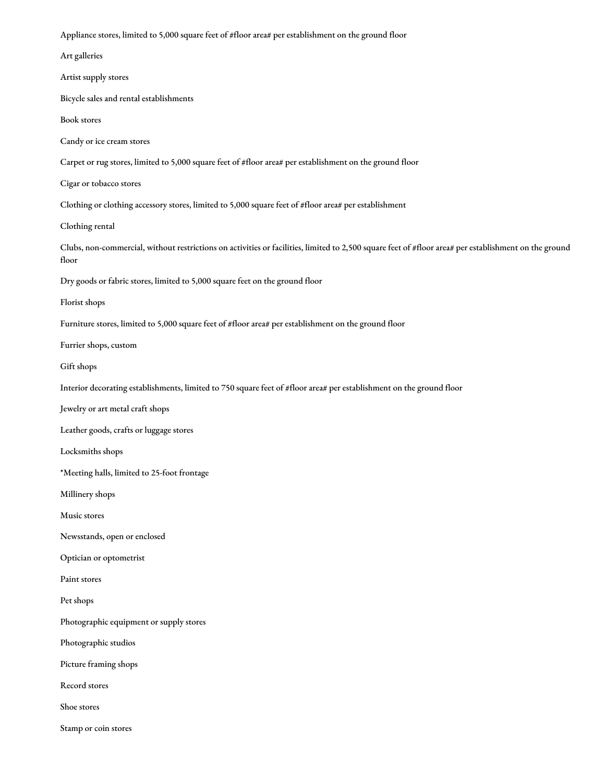Appliance stores, limited to 5,000 square feet of #floor area# per establishment on the ground floor

Art galleries

Artist supply stores

Bicycle sales and rental establishments

Book stores

Candy or ice cream stores

Carpet or rug stores, limited to 5,000 square feet of #floor area# per establishment on the ground floor

Cigar or tobacco stores

Clothing or clothing accessory stores, limited to 5,000 square feet of #floor area# per establishment

Clothing rental

Clubs, non-commercial, without restrictions on activities or facilities, limited to 2,500 square feet of #floor area# per establishment on the ground floor

Dry goods or fabric stores, limited to 5,000 square feet on the ground floor

Florist shops

Furniture stores, limited to 5,000 square feet of #floor area# per establishment on the ground floor

Furrier shops, custom

Gift shops

Interior decorating establishments, limited to 750 square feet of #floor area# per establishment on the ground floor

Jewelry or art metal craft shops

Leather goods, crafts or luggage stores

Locksmiths shops

\*Meeting halls, limited to 25-foot frontage

Millinery shops

Music stores

Newsstands, open or enclosed

Optician or optometrist

Paint stores

Pet shops

Photographic equipment or supply stores

Photographic studios

Picture framing shops

Record stores

Shoe stores

Stamp or coin stores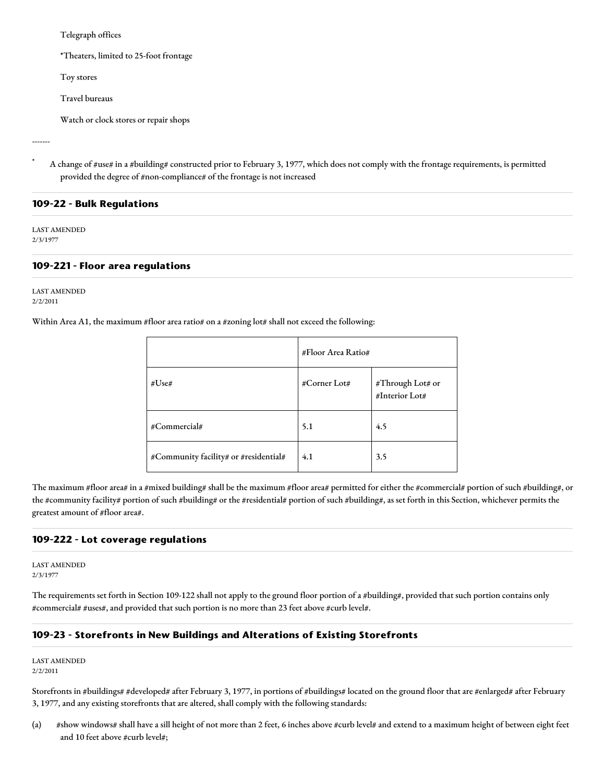Telegraph offices

\*Theaters, limited to 25-foot frontage

Toy stores

Travel bureaus

Watch or clock stores or repair shops

-------

A change of #use# in a #building# constructed prior to February 3, 1977, which does not comply with the frontage requirements, is permitted provided the degree of #non-compliance# of the frontage is not increased

#### **109-22 - Bulk Regulations**

LAST AMENDED 2/3/1977

#### **109-221 - Floor area regulations**

LAST AMENDED 2/2/2011

Within Area A1, the maximum #floor area ratio# on a #zoning lot# shall not exceed the following:

|              |                                       | #Floor Area Ratio# |                                    |
|--------------|---------------------------------------|--------------------|------------------------------------|
| #Use#        |                                       | #Corner Lot#       | #Through Lot# or<br>#Interior Lot# |
| #Commercial# |                                       | 5.1                | 4.5                                |
|              | #Community facility# or #residential# | 4.1                | 3.5                                |

The maximum #floor area# in a #mixed building# shall be the maximum #floor area# permitted for either the #commercial# portion of such #building#, or the #community facility# portion of such #building# or the #residential# portion of such #building#, as set forth in this Section, whichever permits the greatest amount of #floor area#.

#### **109-222 - Lot coverage regulations**

LAST AMENDED 2/3/1977

The requirements set forth in Section 109-122 shall not apply to the ground floor portion of a #building#, provided that such portion contains only #commercial# #uses#, and provided that such portion is no more than 23 feet above #curb level#.

## **109-23 - Storefronts in New Buildings and Alterations of Existing Storefronts**

LAST AMENDED 2/2/2011

Storefronts in #buildings# #developed# after February 3, 1977, in portions of #buildings# located on the ground floor that are #enlarged# after February 3, 1977, and any existing storefronts that are altered, shall comply with the following standards:

(a) #show windows# shall have a sill height of not more than 2 feet, 6 inches above #curb level# and extend to a maximum height of between eight feet and 10 feet above #curb level#;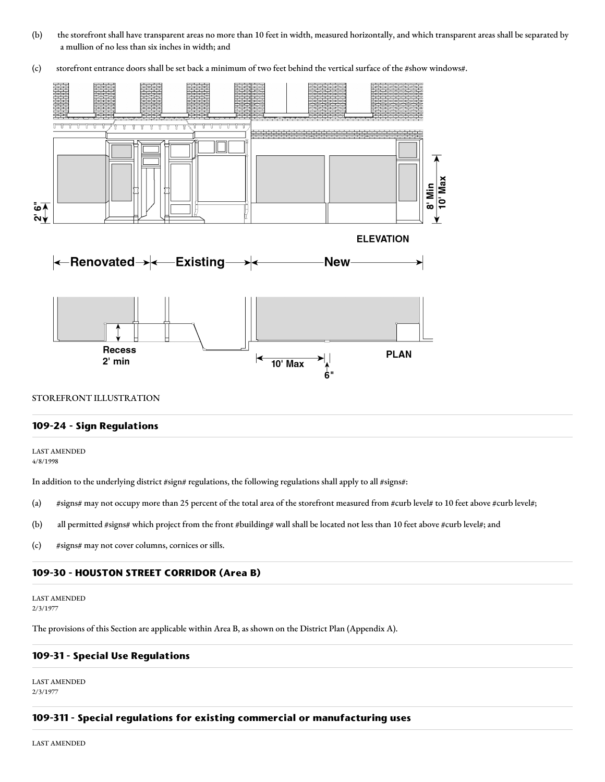- (b) the storefront shall have transparent areas no more than 10 feet in width, measured horizontally, and which transparent areas shall be separated by a mullion of no less than six inches in width; and
- (c) storefront entrance doors shall be set back a minimum of two feet behind the vertical surface of the #show windows#.



#### STOREFRONT ILLUSTRATION

#### **109-24 - Sign Regulations**

LAST AMENDED 4/8/1998

In addition to the underlying district #sign# regulations, the following regulations shall apply to all #signs#:

- (a) #signs# may not occupy more than 25 percent of the total area of the storefront measured from #curb level# to 10 feet above #curb level#;
- (b) all permitted #signs# which project from the front #building# wall shall be located not less than 10 feet above #curb level#; and
- (c) #signs# may not cover columns, cornices or sills.

#### **109-30 - HOUSTON STREET CORRIDOR (Area B)**

LAST AMENDED 2/3/1977

The provisions of this Section are applicable within Area B, as shown on the District Plan (Appendix A).

#### **109-31 - Special Use Regulations**

LAST AMENDED 2/3/1977

#### **109-311 - Special regulations for existing commercial or manufacturing uses**

LAST AMENDED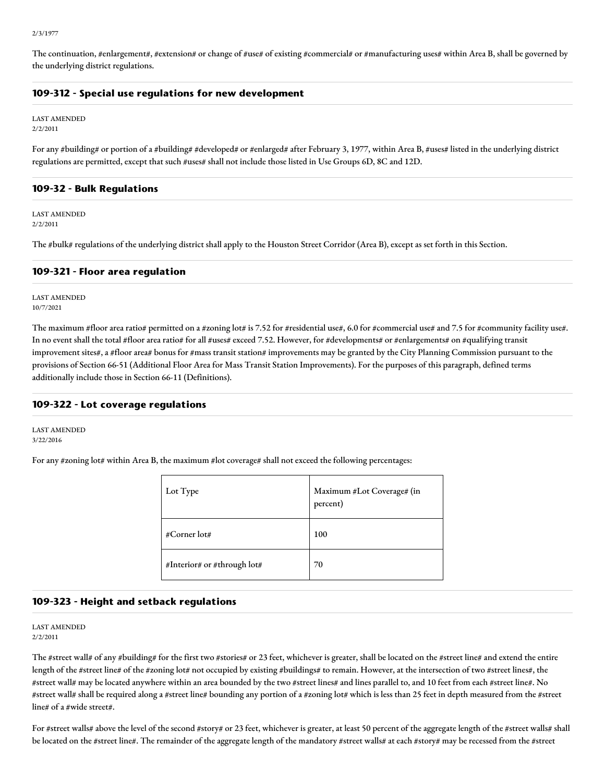The continuation, #enlargement#, #extension# or change of #use# of existing #commercial# or #manufacturing uses# within Area B, shall be governed by the underlying district regulations.

#### **109-312 - Special use regulations for new development**

LAST AMENDED 2/2/2011

For any #building# or portion of a #building# #developed# or #enlarged# after February 3, 1977, within Area B, #uses# listed in the underlying district regulations are permitted, except that such #uses# shall not include those listed in Use Groups 6D, 8C and 12D.

#### **109-32 - Bulk Regulations**

LAST AMENDED 2/2/2011

The #bulk# regulations of the underlying district shall apply to the Houston Street Corridor (Area B), except as set forth in this Section.

#### **109-321 - Floor area regulation**

LAST AMENDED 10/7/2021

The maximum #floor area ratio# permitted on a #zoning lot# is 7.52 for #residential use#, 6.0 for #commercial use# and 7.5 for #community facility use#. In no event shall the total #floor area ratio# for all #uses# exceed 7.52. However, for #developments# or #enlargements# on #qualifying transit improvement sites#, a #floor area# bonus for #mass transit station# improvements may be granted by the City Planning Commission pursuant to the provisions of Section 66-51 (Additional Floor Area for Mass Transit Station Improvements). For the purposes of this paragraph, defined terms additionally include those in Section 66-11 (Definitions).

#### **109-322 - Lot coverage regulations**

LAST AMENDED 3/22/2016

For any #zoning lot# within Area B, the maximum #lot coverage# shall not exceed the following percentages:

| Lot Type                    | Maximum #Lot Coverage# (in<br>percent) |
|-----------------------------|----------------------------------------|
| #Corner lot#                | 100                                    |
| #Interior# or #through lot# | 70                                     |

#### **109-323 - Height and setback regulations**

#### LAST AMENDED 2/2/2011

The #street wall# of any #building# for the first two #stories# or 23 feet, whichever is greater, shall be located on the #street line# and extend the entire length of the #street line# of the #zoning lot# not occupied by existing #buildings# to remain. However, at the intersection of two #street lines#, the #street wall# may be located anywhere within an area bounded by the two #street lines# and lines parallel to, and 10 feet from each #street line#. No #street wall# shall be required along a #street line# bounding any portion of a #zoning lot# which is less than 25 feet in depth measured from the #street line# of a #wide street#.

For #street walls# above the level of the second #story# or 23 feet, whichever is greater, at least 50 percent of the aggregate length of the #street walls# shall be located on the #street line#. The remainder of the aggregate length of the mandatory #street walls# at each #story# may be recessed from the #street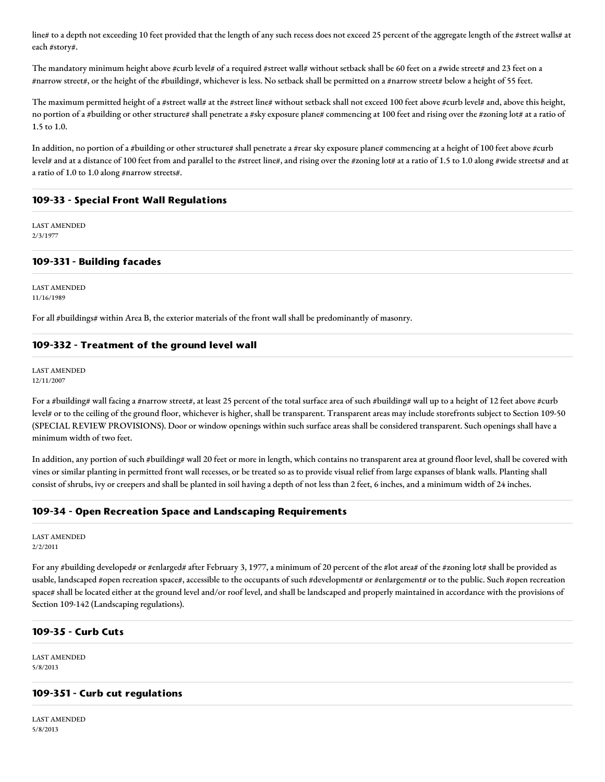line# to a depth not exceeding 10 feet provided that the length of any such recess does not exceed 25 percent of the aggregate length of the #street walls# at each #story#.

The mandatory minimum height above #curb level# of a required #street wall# without setback shall be 60 feet on a #wide street# and 23 feet on a #narrow street#, or the height of the #building#, whichever is less. No setback shall be permitted on a #narrow street# below a height of 55 feet.

The maximum permitted height of a #street wall# at the #street line# without setback shall not exceed 100 feet above #curb level# and, above this height, no portion of a #building or other structure# shall penetrate a #sky exposure plane# commencing at 100 feet and rising over the #zoning lot# at a ratio of 1.5 to 1.0.

In addition, no portion of a #building or other structure# shall penetrate a #rear sky exposure plane# commencing at a height of 100 feet above #curb level# and at a distance of 100 feet from and parallel to the #street line#, and rising over the #zoning lot# at a ratio of 1.5 to 1.0 along #wide streets# and at a ratio of 1.0 to 1.0 along #narrow streets#.

#### **109-33 - Special Front Wall Regulations**

LAST AMENDED 2/3/1977

#### **109-331 - Building facades**

LAST AMENDED 11/16/1989

For all #buildings# within Area B, the exterior materials of the front wall shall be predominantly of masonry.

## **109-332 - Treatment of the ground level wall**

LAST AMENDED 12/11/2007

For a #building# wall facing a #narrow street#, at least 25 percent of the total surface area of such #building# wall up to a height of 12 feet above #curb level# or to the ceiling of the ground floor, whichever is higher, shall be transparent. Transparent areas may include storefronts subject to Section 109-50 (SPECIAL REVIEW PROVISIONS). Door or window openings within such surface areas shall be considered transparent. Such openings shall have a minimum width of two feet.

In addition, any portion of such #building# wall 20 feet or more in length, which contains no transparent area at ground floor level, shall be covered with vines or similar planting in permitted front wall recesses, or be treated so as to provide visual relief from large expanses of blank walls. Planting shall consist of shrubs, ivy or creepers and shall be planted in soil having a depth of not less than 2 feet, 6 inches, and a minimum width of 24 inches.

#### **109-34 - Open Recreation Space and Landscaping Requirements**

LAST AMENDED 2/2/2011

For any #building developed# or #enlarged# after February 3, 1977, a minimum of 20 percent of the #lot area# of the #zoning lot# shall be provided as usable, landscaped #open recreation space#, accessible to the occupants of such #development# or #enlargement# or to the public. Such #open recreation space# shall be located either at the ground level and/or roof level, and shall be landscaped and properly maintained in accordance with the provisions of Section 109-142 (Landscaping regulations).

#### **109-35 - Curb Cuts**

LAST AMENDED 5/8/2013

#### **109-351 - Curb cut regulations**

LAST AMENDED 5/8/2013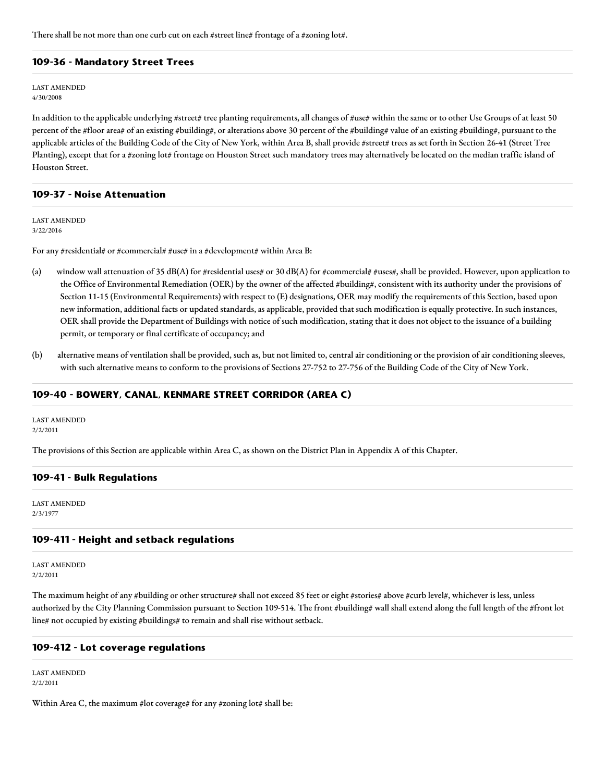There shall be not more than one curb cut on each #street line# frontage of a #zoning lot#.

#### **109-36 - Mandatory Street Trees**

LAST AMENDED 4/30/2008

In addition to the applicable underlying #street# tree planting requirements, all changes of #use# within the same or to other Use Groups of at least 50 percent of the #floor area# of an existing #building#, or alterations above 30 percent of the #building# value of an existing #building#, pursuant to the applicable articles of the Building Code of the City of New York, within Area B, shall provide #street# trees as set forth in Section 26-41 (Street Tree Planting), except that for a #zoning lot# frontage on Houston Street such mandatory trees may alternatively be located on the median traffic island of Houston Street.

#### **109-37 - Noise Attenuation**

LAST AMENDED 3/22/2016

For any #residential# or #commercial# #use# in a #development# within Area B:

- (a) window wall attenuation of 35 dB(A) for #residential uses# or 30 dB(A) for #commercial# #uses#, shall be provided. However, upon application to the Office of Environmental Remediation (OER) by the owner of the affected #building#, consistent with its authority under the provisions of Section 11-15 (Environmental Requirements) with respect to (E) designations, OER may modify the requirements of this Section, based upon new information, additional facts or updated standards, as applicable, provided that such modification is equally protective. In such instances, OER shall provide the Department of Buildings with notice of such modification, stating that it does not object to the issuance of a building permit, or temporary or final certificate of occupancy; and
- (b) alternative means of ventilation shall be provided, such as, but not limited to, central air conditioning or the provision of air conditioning sleeves, with such alternative means to conform to the provisions of Sections 27-752 to 27-756 of the Building Code of the City of New York.

#### **109-40 - BOWERY, CANAL, KENMARE STREET CORRIDOR (AREA C)**

LAST AMENDED 2/2/2011

The provisions of this Section are applicable within Area C, as shown on the District Plan in Appendix A of this Chapter.

#### **109-41 - Bulk Regulations**

LAST AMENDED 2/3/1977

#### **109-411 - Height and setback regulations**

LAST AMENDED 2/2/2011

The maximum height of any #building or other structure# shall not exceed 85 feet or eight #stories# above #curb level#, whichever is less, unless authorized by the City Planning Commission pursuant to Section 109-514. The front #building# wall shall extend along the full length of the #front lot line# not occupied by existing #buildings# to remain and shall rise without setback.

#### **109-412 - Lot coverage regulations**

LAST AMENDED 2/2/2011

Within Area C, the maximum #lot coverage# for any #zoning lot# shall be: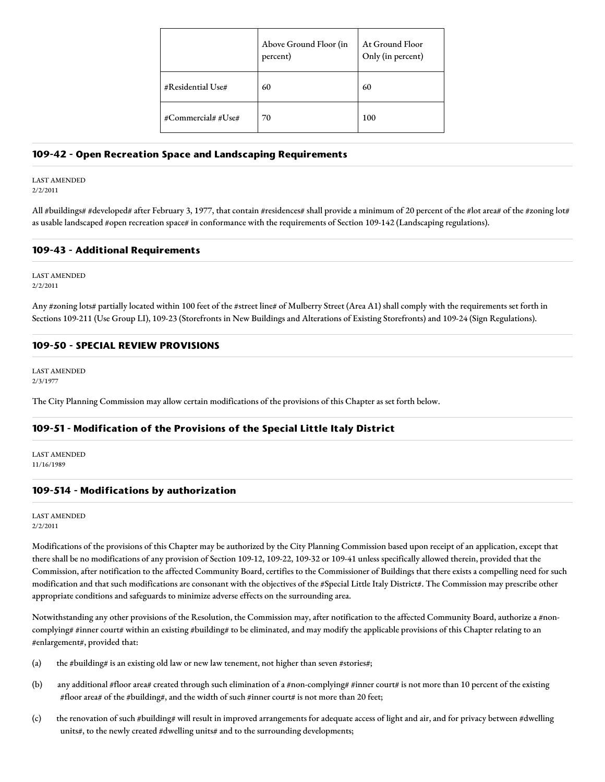|                   | Above Ground Floor (in<br>percent) | At Ground Floor<br>Only (in percent) |
|-------------------|------------------------------------|--------------------------------------|
| #Residential Use# | 60                                 | 60                                   |
| #Commercial##Use# | 70                                 | 100                                  |

#### **109-42 - Open Recreation Space and Landscaping Requirements**

#### LAST AMENDED 2/2/2011

All #buildings# #developed# after February 3, 1977, that contain #residences# shall provide a minimum of 20 percent of the #lot area# of the #zoning lot# as usable landscaped #open recreation space# in conformance with the requirements of Section 109-142 (Landscaping regulations).

## **109-43 - Additional Requirements**

LAST AMENDED 2/2/2011

Any #zoning lots# partially located within 100 feet of the #street line# of Mulberry Street (Area A1) shall comply with the requirements set forth in Sections 109-211 (Use Group LI), 109-23 (Storefronts in New Buildings and Alterations of Existing Storefronts) and 109-24 (Sign Regulations).

#### **109-50 - SPECIAL REVIEW PROVISIONS**

LAST AMENDED 2/3/1977

The City Planning Commission may allow certain modifications of the provisions of this Chapter as set forth below.

## **109-51 - Modification of the Provisions of the Special Little Italy District**

LAST AMENDED 11/16/1989

#### **109-514 - Modifications by authorization**

LAST AMENDED 2/2/2011

Modifications of the provisions of this Chapter may be authorized by the City Planning Commission based upon receipt of an application, except that there shall be no modifications of any provision of Section 109-12, 109-22, 109-32 or 109-41 unless specifically allowed therein, provided that the Commission, after notification to the affected Community Board, certifies to the Commissioner of Buildings that there exists a compelling need for such modification and that such modifications are consonant with the objectives of the #Special Little Italy District#. The Commission may prescribe other appropriate conditions and safeguards to minimize adverse effects on the surrounding area.

Notwithstanding any other provisions of the Resolution, the Commission may, after notification to the affected Community Board, authorize a #noncomplying# #inner court# within an existing #building# to be eliminated, and may modify the applicable provisions of this Chapter relating to an #enlargement#, provided that:

- (a) the #building# is an existing old law or new law tenement, not higher than seven #stories#;
- (b) any additional #floor area# created through such elimination of a #non-complying# #inner court# is not more than 10 percent of the existing #floor area# of the #building#, and the width of such #inner court# is not more than 20 feet;
- (c) the renovation of such #building# will result in improved arrangements for adequate access of light and air, and for privacy between #dwelling units#, to the newly created #dwelling units# and to the surrounding developments;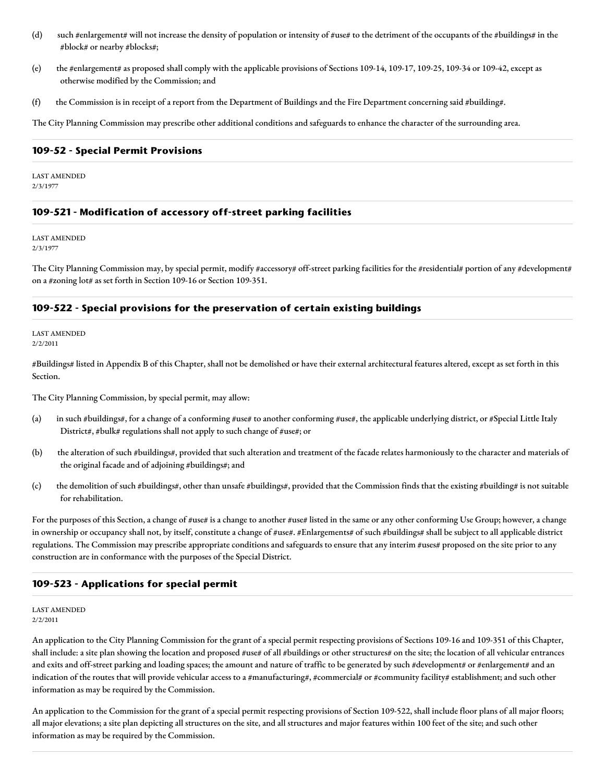- (d) such #enlargement# will not increase the density of population or intensity of #use# to the detriment of the occupants of the #buildings# in the #block# or nearby #blocks#;
- (e) the #enlargement# as proposed shall comply with the applicable provisions of Sections 109-14, 109-17, 109-25, 109-34 or 109-42, except as otherwise modified by the Commission; and
- (f) the Commission is in receipt of a report from the Department of Buildings and the Fire Department concerning said #building#.

The City Planning Commission may prescribe other additional conditions and safeguards to enhance the character of the surrounding area.

#### **109-52 - Special Permit Provisions**

LAST AMENDED 2/3/1977

#### **109-521 - Modification of accessory off-street parking facilities**

LAST AMENDED 2/3/1977

The City Planning Commission may, by special permit, modify #accessory# off-street parking facilities for the #residential# portion of any #development# on a #zoning lot# as set forth in Section 109-16 or Section 109-351.

#### **109-522 - Special provisions for the preservation of certain existing buildings**

LAST AMENDED 2/2/2011

#Buildings# listed in Appendix B of this Chapter, shall not be demolished or have their external architectural features altered, except as set forth in this Section.

The City Planning Commission, by special permit, may allow:

- (a) in such #buildings#, for a change of a conforming #use# to another conforming #use#, the applicable underlying district, or #Special Little Italy District#, #bulk# regulations shall not apply to such change of #use#; or
- (b) the alteration of such #buildings#, provided that such alteration and treatment of the facade relates harmoniously to the character and materials of the original facade and of adjoining #buildings#; and
- (c) the demolition of such #buildings#, other than unsafe #buildings#, provided that the Commission finds that the existing #building# is not suitable for rehabilitation.

For the purposes of this Section, a change of #use# is a change to another #use# listed in the same or any other conforming Use Group; however, a change in ownership or occupancy shall not, by itself, constitute a change of #use#. #Enlargements# of such #buildings# shall be subject to all applicable district regulations. The Commission may prescribe appropriate conditions and safeguards to ensure that any interim #uses# proposed on the site prior to any construction are in conformance with the purposes of the Special District.

#### **109-523 - Applications for special permit**

#### LAST AMENDED 2/2/2011

An application to the City Planning Commission for the grant of a special permit respecting provisions of Sections 109-16 and 109-351 of this Chapter, shall include: a site plan showing the location and proposed #use# of all #buildings or other structures# on the site; the location of all vehicular entrances and exits and off-street parking and loading spaces; the amount and nature of traffic to be generated by such #development# or #enlargement# and an indication of the routes that will provide vehicular access to a #manufacturing#, #commercial# or #community facility# establishment; and such other information as may be required by the Commission.

An application to the Commission for the grant of a special permit respecting provisions of Section 109-522, shall include floor plans of all major floors; all major elevations; a site plan depicting all structures on the site, and all structures and major features within 100 feet of the site; and such other information as may be required by the Commission.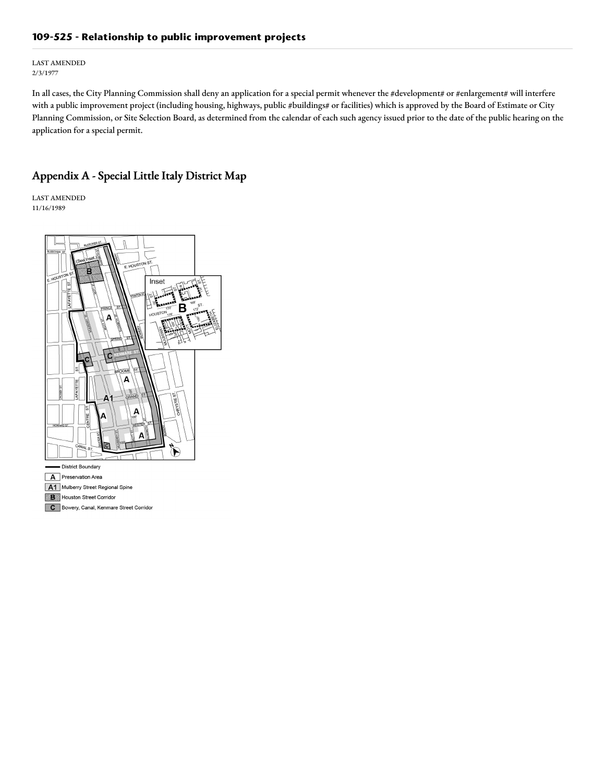# **109-525 - Relationship to public improvement projects**

LAST AMENDED 2/3/1977

In all cases, the City Planning Commission shall deny an application for a special permit whenever the #development# or #enlargement# will interfere with a public improvement project (including housing, highways, public #buildings# or facilities) which is approved by the Board of Estimate or City Planning Commission, or Site Selection Board, as determined from the calendar of each such agency issued prior to the date of the public hearing on the application for a special permit.

# Appendix A - Special Little Italy District Map

LAST AMENDED 11/16/1989